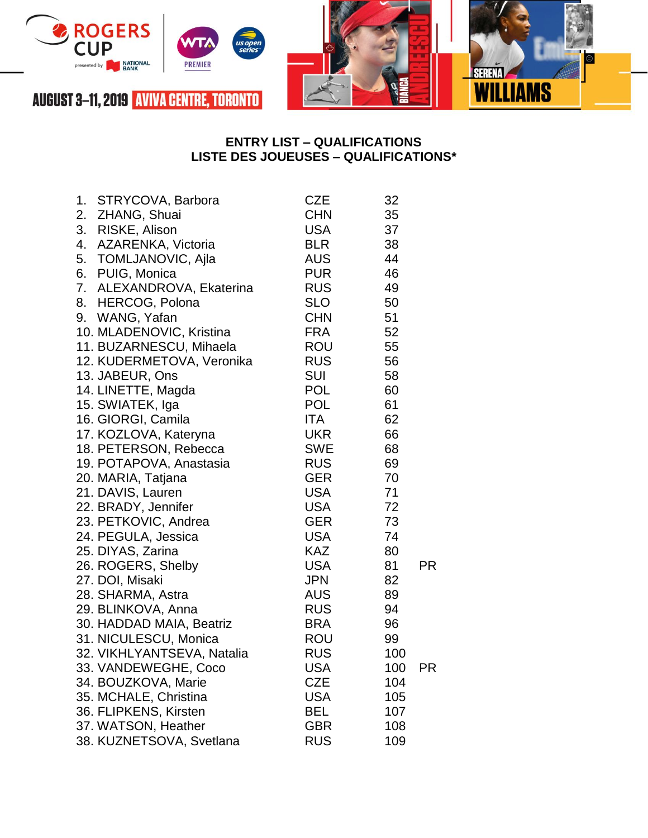

## **ENTRY LIST – QUALIFICATIONS LISTE DES JOUEUSES – QUALIFICATIONS\***

| 1. | STRYCOVA, Barbora          | <b>CZE</b> | 32  |           |
|----|----------------------------|------------|-----|-----------|
| 2. | ZHANG, Shuai               | <b>CHN</b> | 35  |           |
| 3. | RISKE, Alison              | USA        | 37  |           |
| 4. | AZARENKA, Victoria         | <b>BLR</b> | 38  |           |
| 5. | TOMLJANOVIC, Ajla          | <b>AUS</b> | 44  |           |
| 6. | PUIG, Monica               | <b>PUR</b> | 46  |           |
| 7. | ALEXANDROVA, Ekaterina     | <b>RUS</b> | 49  |           |
| 8. | <b>HERCOG, Polona</b>      | <b>SLO</b> | 50  |           |
| 9. | WANG, Yafan                | <b>CHN</b> | 51  |           |
|    | 10. MLADENOVIC, Kristina   | <b>FRA</b> | 52  |           |
|    | 11. BUZARNESCU, Mihaela    | ROU        | 55  |           |
|    | 12. KUDERMETOVA, Veronika  | <b>RUS</b> | 56  |           |
|    | 13. JABEUR, Ons            | <b>SUI</b> | 58  |           |
|    | 14. LINETTE, Magda         | <b>POL</b> | 60  |           |
|    | 15. SWIATEK, Iga           | <b>POL</b> | 61  |           |
|    | 16. GIORGI, Camila         | ITA.       | 62  |           |
|    | 17. KOZLOVA, Kateryna      | <b>UKR</b> | 66  |           |
|    | 18. PETERSON, Rebecca      | SWE        | 68  |           |
|    | 19. POTAPOVA, Anastasia    | <b>RUS</b> | 69  |           |
|    | 20. MARIA, Tatjana         | <b>GER</b> | 70  |           |
|    | 21. DAVIS, Lauren          | <b>USA</b> | 71  |           |
|    | 22. BRADY, Jennifer        | USA        | 72  |           |
|    | 23. PETKOVIC, Andrea       | <b>GER</b> | 73  |           |
|    | 24. PEGULA, Jessica        | USA        | 74  |           |
|    | 25. DIYAS, Zarina          | KAZ        | 80  |           |
|    | 26. ROGERS, Shelby         | USA        | 81  | PR        |
|    | 27. DOI, Misaki            | JPN        | 82  |           |
|    | 28. SHARMA, Astra          | <b>AUS</b> | 89  |           |
|    | 29. BLINKOVA, Anna         | <b>RUS</b> | 94  |           |
|    | 30. HADDAD MAIA, Beatriz   | BRA        | 96  |           |
|    | 31. NICULESCU, Monica      | ROU        | 99  |           |
|    | 32. VIKHLYANTSEVA, Natalia | <b>RUS</b> | 100 |           |
|    | 33. VANDEWEGHE, Coco       | <b>USA</b> | 100 | <b>PR</b> |
|    | 34. BOUZKOVA, Marie        | CZE        | 104 |           |
|    | 35. MCHALE, Christina      | USA        | 105 |           |
|    | 36. FLIPKENS, Kirsten      | BEL        | 107 |           |
|    | 37. WATSON, Heather        | GBR        | 108 |           |
|    | 38. KUZNETSOVA, Svetlana   | <b>RUS</b> | 109 |           |